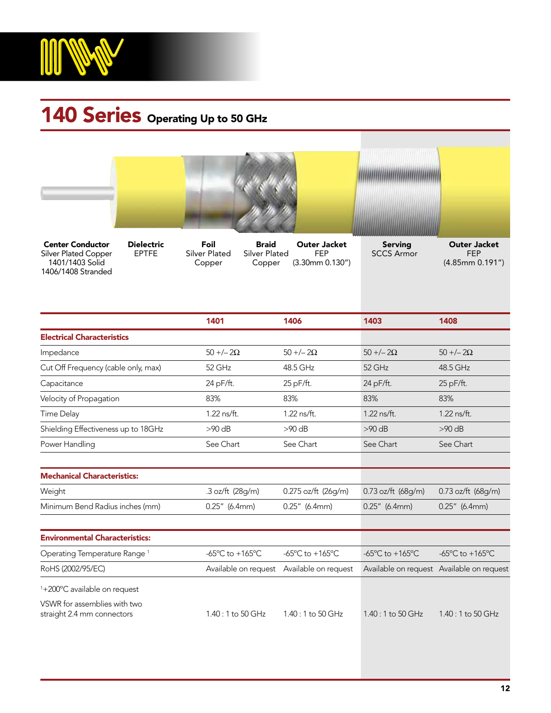

## 140 Series Operating Up to 50 GHz